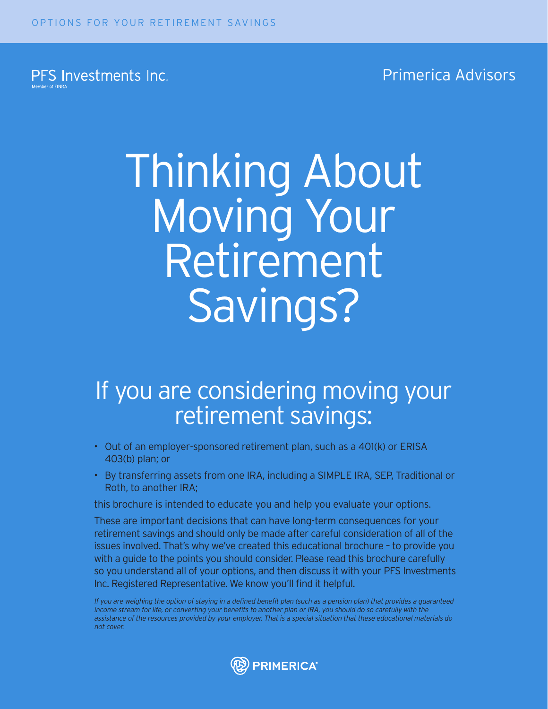PFS Investments Inc.

Primerica Advisors

# Thinking About Moving Your Retirement Savings?

## If you are considering moving your retirement savings:

- Out of an employer-sponsored retirement plan, such as a 401(k) or ERISA 403(b) plan; or
- By transferring assets from one IRA, including a SIMPLE IRA, SEP, Traditional or Roth, to another IRA;

this brochure is intended to educate you and help you evaluate your options.

These are important decisions that can have long-term consequences for your retirement savings and should only be made after careful consideration of all of the issues involved. That's why we've created this educational brochure – to provide you with a guide to the points you should consider. Please read this brochure carefully so you understand all of your options, and then discuss it with your PFS Investments Inc. Registered Representative. We know you'll find it helpful.

If you are weighing the option of staying in a defined benefit plan (such as a pension plan) that provides a guaranteed income stream for life, or converting your benefits to another plan or IRA, you should do so carefully with the assistance of the resources provided by your employer. That is a special situation that these educational materials do not cover.

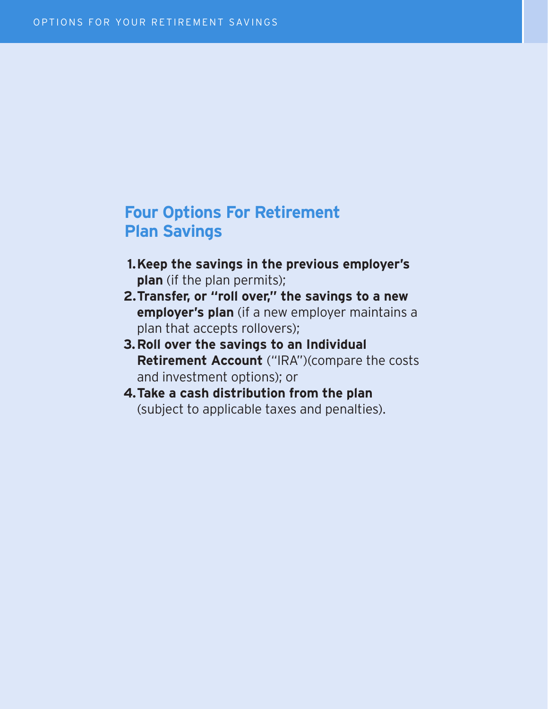#### **4.** Take a cash distribution from the plan (subject to **Four Options For Retirement Plan Savings**

- **1.Keep the savings in the previous employer's plan** (if the plan permits);
- **2.Transfer, or "roll over," the savings to a new employer's plan** (if a new employer maintains a plan that accepts rollovers);
- **3.Roll over the savings to an Individual Retirement Account** ("IRA")(compare the costs and investment options); or
- **4.Take a cash distribution from the plan** (subject to applicable taxes and penalties).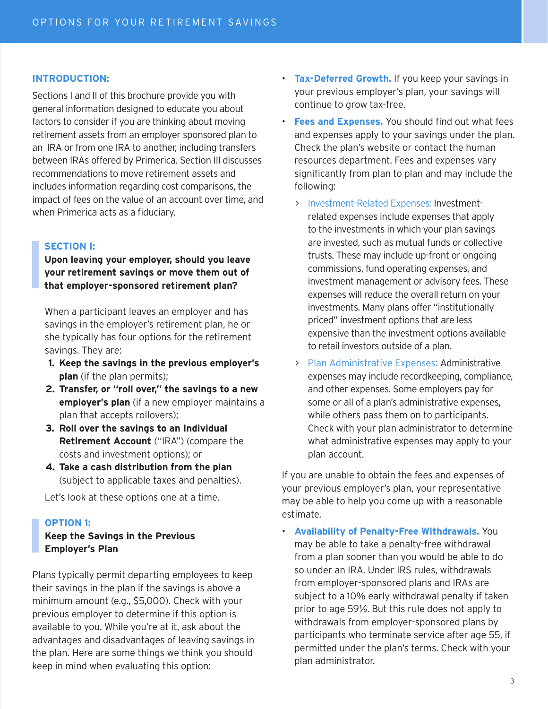#### **INTRODUCTION:**

Sections I and II of this brochure provide you with general information designed to educate you about factors to consider if you are thinking about moving retirement assets from an employer sponsored plan to an IRA or from one IRA to another, including transfers between IRAs offered by Primerica. Section III discusses recommendations to move retirement assets and includes information regarding cost comparisons, the impact of fees on the value of an account over time, and when Primerica acts as a fiduciary.

#### **SECTION I:**

**Upon leaving your employer, should you leave your retirement savings or move them out of that employer-sponsored retirement plan?** 

When a participant leaves an employer and has savings in the employer's retirement plan, he or she typically has four options for the retirement savings. They are:

- **1. Keep the savings in the previous employer's plan** (if the plan permits);
- **2. Transfer, or "roll over," the savings to a new employer's plan** (if a new employer maintains a plan that accepts rollovers);
- **3. Roll over the savings to an Individual Retirement Account** ("IRA") (compare the costs and investment options); or
- **4. Take a cash distribution from the plan** (subject to applicable taxes and penalties).

Let's look at these options one at a time.

#### **OPTION 1:**

#### **Keep the Savings in the Previous Employer's Plan**

Plans typically permit departing employees to keep their savings in the plan if the savings is above a minimum amount (e.g., \$5,000). Check with your previous employer to determine if this option is available to you. While you're at it, ask about the advantages and disadvantages of leaving savings in the plan. Here are some things we think you should keep in mind when evaluating this option:

- **Tax-Deferred Growth.** If you keep your savings in your previous employer's plan, your savings will continue to grow tax-free.
- **Fees and Expenses.** You should find out what fees and expenses apply to your savings under the plan. Check the plan's website or contact the human resources department. Fees and expenses vary significantly from plan to plan and may include the following:
	- > Investment-Related Expenses: Investmentrelated expenses include expenses that apply to the investments in which your plan savings are invested, such as mutual funds or collective trusts. These may include up-front or ongoing commissions, fund operating expenses, and investment management or advisory fees. These expenses will reduce the overall return on your investments. Many plans offer "institutionally priced" investment options that are less expensive than the investment options available to retail investors outside of a plan.
	- > Plan Administrative Expenses: Administrative expenses may include recordkeeping, compliance, and other expenses. Some employers pay for some or all of a plan's administrative expenses, while others pass them on to participants. Check with your plan administrator to determine what administrative expenses may apply to your plan account.

If you are unable to obtain the fees and expenses of your previous employer's plan, your representative may be able to help you come up with a reasonable estimate.

• **Availability of Penalty-Free Withdrawals.** You may be able to take a penalty-free withdrawal from a plan sooner than you would be able to do so under an IRA. Under IRS rules, withdrawals from employer-sponsored plans and IRAs are subject to a 10% early withdrawal penalty if taken prior to age 59½. But this rule does not apply to withdrawals from employer-sponsored plans by participants who terminate service after age 55, if permitted under the plan's terms. Check with your plan administrator.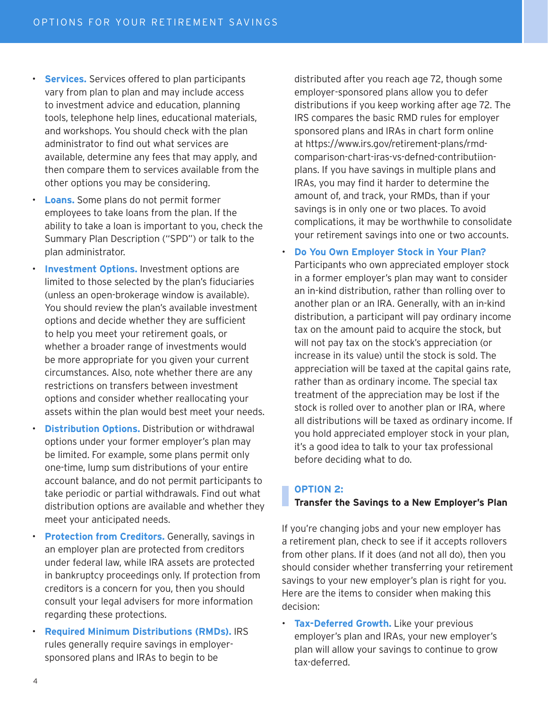- **Services.** Services offered to plan participants vary from plan to plan and may include access to investment advice and education, planning tools, telephone help lines, educational materials, and workshops. You should check with the plan administrator to find out what services are available, determine any fees that may apply, and then compare them to services available from the other options you may be considering.
- **Loans.** Some plans do not permit former employees to take loans from the plan. If the ability to take a loan is important to you, check the Summary Plan Description ("SPD") or talk to the plan administrator.
- **Investment Options.** Investment options are limited to those selected by the plan's fiduciaries (unless an open-brokerage window is available). You should review the plan's available investment options and decide whether they are sufficient to help you meet your retirement goals, or whether a broader range of investments would be more appropriate for you given your current circumstances. Also, note whether there are any restrictions on transfers between investment options and consider whether reallocating your assets within the plan would best meet your needs.
- **Distribution Options.** Distribution or withdrawal options under your former employer's plan may be limited. For example, some plans permit only one-time, lump sum distributions of your entire account balance, and do not permit participants to take periodic or partial withdrawals. Find out what distribution options are available and whether they meet your anticipated needs.
- **Protection from Creditors.** Generally, savings in an employer plan are protected from creditors under federal law, while IRA assets are protected in bankruptcy proceedings only. If protection from creditors is a concern for you, then you should consult your legal advisers for more information regarding these protections.
- **Required Minimum Distributions (RMDs).** IRS rules generally require savings in employersponsored plans and IRAs to begin to be

distributed after you reach age 72, though some employer-sponsored plans allow you to defer distributions if you keep working after age 72. The IRS compares the basic RMD rules for employer sponsored plans and IRAs in chart form online at https://www.irs.gov/retirement-plans/rmdcomparison-chart-iras-vs-defned-contributiionplans. If you have savings in multiple plans and IRAs, you may find it harder to determine the amount of, and track, your RMDs, than if your savings is in only one or two places. To avoid complications, it may be worthwhile to consolidate your retirement savings into one or two accounts.

• **Do You Own Employer Stock in Your Plan?**

Participants who own appreciated employer stock in a former employer's plan may want to consider an in-kind distribution, rather than rolling over to another plan or an IRA. Generally, with an in-kind distribution, a participant will pay ordinary income tax on the amount paid to acquire the stock, but will not pay tax on the stock's appreciation (or increase in its value) until the stock is sold. The appreciation will be taxed at the capital gains rate, rather than as ordinary income. The special tax treatment of the appreciation may be lost if the stock is rolled over to another plan or IRA, where all distributions will be taxed as ordinary income. If you hold appreciated employer stock in your plan, it's a good idea to talk to your tax professional before deciding what to do.

#### **OPTION 2:**

#### **Transfer the Savings to a New Employer's Plan**

If you're changing jobs and your new employer has a retirement plan, check to see if it accepts rollovers from other plans. If it does (and not all do), then you should consider whether transferring your retirement savings to your new employer's plan is right for you. Here are the items to consider when making this decision:

• **Tax-Deferred Growth.** Like your previous employer's plan and IRAs, your new employer's plan will allow your savings to continue to grow tax-deferred.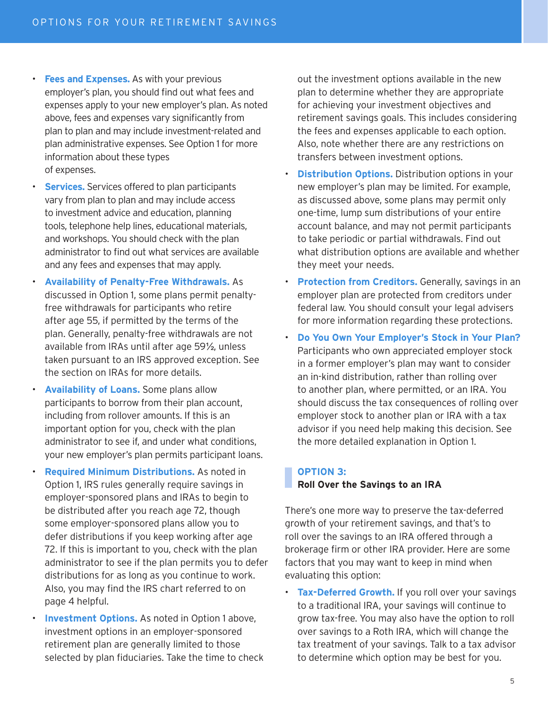- **Fees and Expenses.** As with your previous employer's plan, you should find out what fees and expenses apply to your new employer's plan. As noted above, fees and expenses vary significantly from plan to plan and may include investment-related and plan administrative expenses. See Option 1 for more information about these types of expenses.
- **Services.** Services offered to plan participants vary from plan to plan and may include access to investment advice and education, planning tools, telephone help lines, educational materials, and workshops. You should check with the plan administrator to find out what services are available and any fees and expenses that may apply.
- **Availability of Penalty-Free Withdrawals.** As discussed in Option 1, some plans permit penaltyfree withdrawals for participants who retire after age 55, if permitted by the terms of the plan. Generally, penalty-free withdrawals are not available from IRAs until after age 59½, unless taken pursuant to an IRS approved exception. See the section on IRAs for more details.
	- **Availability of Loans.** Some plans allow participants to borrow from their plan account, including from rollover amounts. If this is an important option for you, check with the plan administrator to see if, and under what conditions, your new employer's plan permits participant loans.
	- **Required Minimum Distributions.** As noted in Option 1, IRS rules generally require savings in employer-sponsored plans and IRAs to begin to be distributed after you reach age 72, though some employer-sponsored plans allow you to defer distributions if you keep working after age 72. If this is important to you, check with the plan administrator to see if the plan permits you to defer distributions for as long as you continue to work. Also, you may find the IRS chart referred to on page 4 helpful.
- **Investment Options.** As noted in Option 1 above, investment options in an employer-sponsored retirement plan are generally limited to those selected by plan fiduciaries. Take the time to check

out the investment options available in the new plan to determine whether they are appropriate for achieving your investment objectives and retirement savings goals. This includes considering the fees and expenses applicable to each option. Also, note whether there are any restrictions on transfers between investment options.

- **Distribution Options.** Distribution options in your new employer's plan may be limited. For example, as discussed above, some plans may permit only one-time, lump sum distributions of your entire account balance, and may not permit participants to take periodic or partial withdrawals. Find out what distribution options are available and whether they meet your needs.
- **Protection from Creditors.** Generally, savings in an employer plan are protected from creditors under federal law. You should consult your legal advisers for more information regarding these protections.
- **Do You Own Your Employer's Stock in Your Plan?**  Participants who own appreciated employer stock in a former employer's plan may want to consider an in-kind distribution, rather than rolling over to another plan, where permitted, or an IRA. You should discuss the tax consequences of rolling over employer stock to another plan or IRA with a tax advisor if you need help making this decision. See the more detailed explanation in Option 1.

#### **OPTION 3:**

#### **Roll Over the Savings to an IRA**

There's one more way to preserve the tax-deferred growth of your retirement savings, and that's to roll over the savings to an IRA offered through a brokerage firm or other IRA provider. Here are some factors that you may want to keep in mind when evaluating this option:

• **Tax-Deferred Growth.** If you roll over your savings to a traditional IRA, your savings will continue to grow tax-free. You may also have the option to roll over savings to a Roth IRA, which will change the tax treatment of your savings. Talk to a tax advisor to determine which option may be best for you.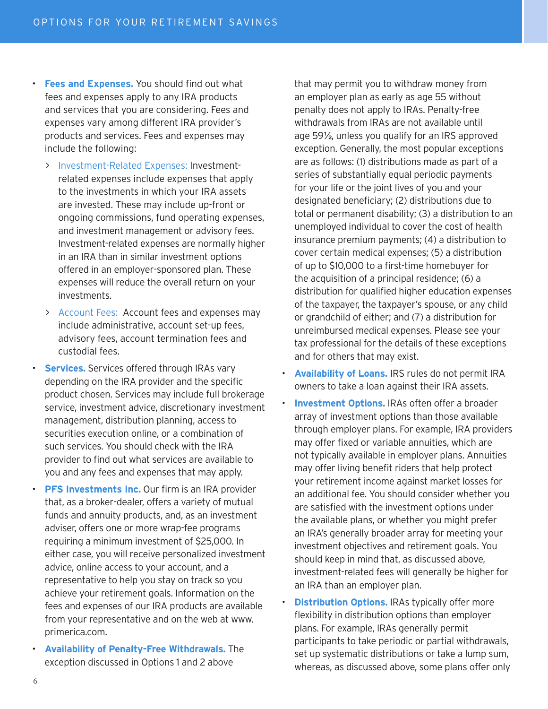- **Fees and Expenses.** You should find out what fees and expenses apply to any IRA products and services that you are considering. Fees and expenses vary among different IRA provider's products and services. Fees and expenses may include the following:
	- > Investment-Related Expenses: Investmentrelated expenses include expenses that apply to the investments in which your IRA assets are invested. These may include up-front or ongoing commissions, fund operating expenses, and investment management or advisory fees. Investment-related expenses are normally higher in an IRA than in similar investment options offered in an employer-sponsored plan. These expenses will reduce the overall return on your investments.
	- > Account Fees: Account fees and expenses may include administrative, account set-up fees, advisory fees, account termination fees and custodial fees.
	- **Services.** Services offered through IRAs vary depending on the IRA provider and the specific product chosen. Services may include full brokerage service, investment advice, discretionary investment management, distribution planning, access to securities execution online, or a combination of such services. You should check with the IRA provider to find out what services are available to you and any fees and expenses that may apply.
- **PFS Investments Inc.** Our firm is an IRA provider that, as a broker-dealer, offers a variety of mutual funds and annuity products, and, as an investment adviser, offers one or more wrap-fee programs requiring a minimum investment of \$25,000. In either case, you will receive personalized investment advice, online access to your account, and a representative to help you stay on track so you achieve your retirement goals. Information on the fees and expenses of our IRA products are available from your representative and on the web at www. primerica.com.
- **Availability of Penalty-Free Withdrawals.** The exception discussed in Options 1 and 2 above

that may permit you to withdraw money from an employer plan as early as age 55 without penalty does not apply to IRAs. Penalty-free withdrawals from IRAs are not available until age 59½, unless you qualify for an IRS approved exception. Generally, the most popular exceptions are as follows: (1) distributions made as part of a series of substantially equal periodic payments for your life or the joint lives of you and your designated beneficiary; (2) distributions due to total or permanent disability; (3) a distribution to an unemployed individual to cover the cost of health insurance premium payments; (4) a distribution to cover certain medical expenses; (5) a distribution of up to \$10,000 to a first-time homebuyer for the acquisition of a principal residence; (6) a distribution for qualified higher education expenses of the taxpayer, the taxpayer's spouse, or any child or grandchild of either; and (7) a distribution for unreimbursed medical expenses. Please see your tax professional for the details of these exceptions and for others that may exist.

- **Availability of Loans.** IRS rules do not permit IRA owners to take a loan against their IRA assets.
- **Investment Options.** IRAs often offer a broader array of investment options than those available through employer plans. For example, IRA providers may offer fixed or variable annuities, which are not typically available in employer plans. Annuities may offer living benefit riders that help protect your retirement income against market losses for an additional fee. You should consider whether you are satisfied with the investment options under the available plans, or whether you might prefer an IRA's generally broader array for meeting your investment objectives and retirement goals. You should keep in mind that, as discussed above, investment-related fees will generally be higher for an IRA than an employer plan.
- **Distribution Options.** IRAs typically offer more flexibility in distribution options than employer plans. For example, IRAs generally permit participants to take periodic or partial withdrawals, set up systematic distributions or take a lump sum, whereas, as discussed above, some plans offer only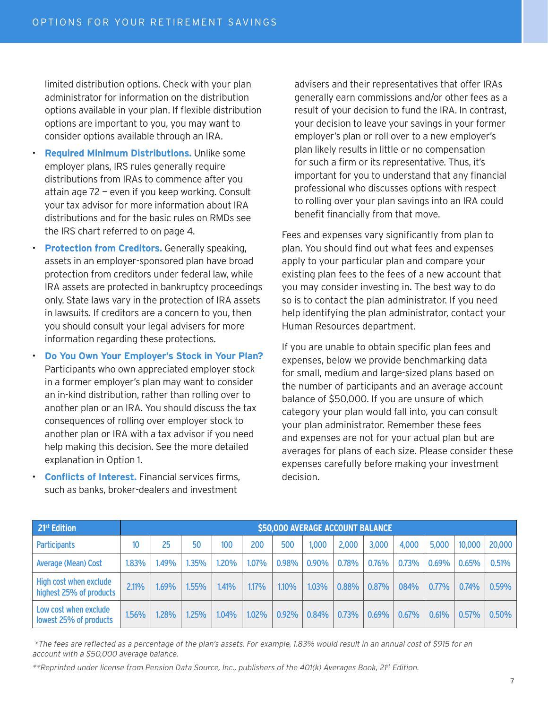limited distribution options. Check with your plan administrator for information on the distribution options available in your plan. If flexible distribution options are important to you, you may want to consider options available through an IRA.

- **Required Minimum Distributions.** Unlike some employer plans, IRS rules generally require distributions from IRAs to commence after you attain age 72 — even if you keep working. Consult your tax advisor for more information about IRA distributions and for the basic rules on RMDs see the IRS chart referred to on page 4.
- **Protection from Creditors.** Generally speaking, assets in an employer-sponsored plan have broad protection from creditors under federal law, while IRA assets are protected in bankruptcy proceedings only. State laws vary in the protection of IRA assets in lawsuits. If creditors are a concern to you, then you should consult your legal advisers for more information regarding these protections.
- **Do You Own Your Employer's Stock in Your Plan?**  Participants who own appreciated employer stock in a former employer's plan may want to consider an in-kind distribution, rather than rolling over to another plan or an IRA. You should discuss the tax consequences of rolling over employer stock to another plan or IRA with a tax advisor if you need help making this decision. See the more detailed explanation in Option 1.
- **Conflicts of Interest.** Financial services firms, such as banks, broker-dealers and investment

advisers and their representatives that offer IRAs generally earn commissions and/or other fees as a result of your decision to fund the IRA. In contrast, your decision to leave your savings in your former employer's plan or roll over to a new employer's plan likely results in little or no compensation for such a firm or its representative. Thus, it's important for you to understand that any financial professional who discusses options with respect to rolling over your plan savings into an IRA could benefit financially from that move.

Fees and expenses vary significantly from plan to plan. You should find out what fees and expenses apply to your particular plan and compare your existing plan fees to the fees of a new account that you may consider investing in. The best way to do so is to contact the plan administrator. If you need help identifying the plan administrator, contact your Human Resources department.

If you are unable to obtain specific plan fees and expenses, below we provide benchmarking data for small, medium and large-sized plans based on the number of participants and an average account balance of \$50,000. If you are unsure of which category your plan would fall into, you can consult your plan administrator. Remember these fees and expenses are not for your actual plan but are averages for plans of each size. Please consider these expenses carefully before making your investment decision.

| 21 <sup>st</sup> Edition                          | \$50,000 AVERAGE ACCOUNT BALANCE |       |       |       |       |       |       |       |          |       |       |        |        |
|---------------------------------------------------|----------------------------------|-------|-------|-------|-------|-------|-------|-------|----------|-------|-------|--------|--------|
| <b>Participants</b>                               | 10                               | 25    | 50    | 100   | 200   | 500   | 1,000 | 2,000 | 3,000    | 4,000 | 5,000 | 10,000 | 20,000 |
| Average (Mean) Cost                               | 1.83%                            | 1.49% | 1.35% | 1.20% | 1.07% | 0.98% | 0.90% | 0.78% | 0.76%    | 0.73% | 0.69% | 0.65%  | 0.51%  |
| High cost when exclude<br>highest 25% of products | 2.11%                            | 1.69% | 1.55% | 1.41% | 1.17% | 1.10% | 1.03% | 0.88% | 0.87%    | 084%  | 0.77% | 0.74%  | 0.59%  |
| Low cost when exclude<br>lowest 25% of products   | 1.56%                            | 1.28% | 1.25% | 1.04% | 1.02% | 0.92% | 0.84% | 0.73% | $0.69\%$ | 0.67% | 0.61% | 0.57%  | 0.50%  |

\*The fees are reflected as a percentage of the plan's assets. For example, 1.83% would result in an annual cost of \$915 for an account with a \$50,000 average balance.

\*\*Reprinted under license from Pension Data Source, Inc., publishers of the 401(k) Averages Book, 21<sup>st</sup> Edition.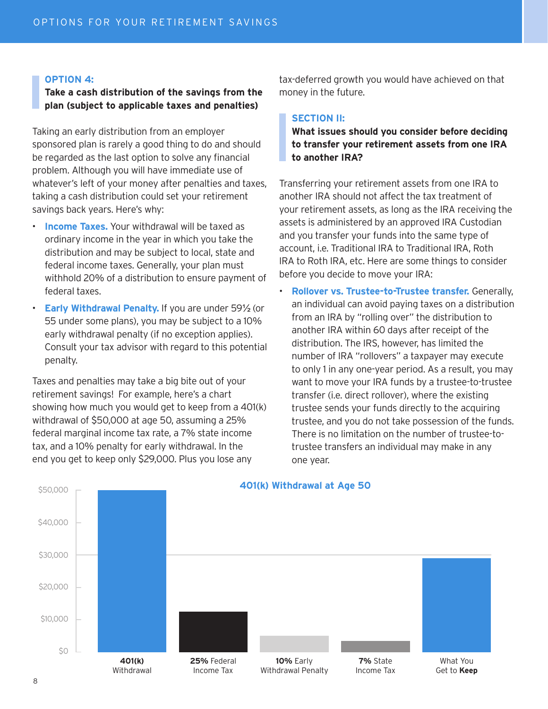#### **OPTION 4:**

**Take a cash distribution of the savings from the plan (subject to applicable taxes and penalties)**

Taking an early distribution from an employer sponsored plan is rarely a good thing to do and should be regarded as the last option to solve any financial problem. Although you will have immediate use of whatever's left of your money after penalties and taxes, taking a cash distribution could set your retirement savings back years. Here's why:

- **Income Taxes.** Your withdrawal will be taxed as ordinary income in the year in which you take the distribution and may be subject to local, state and federal income taxes. Generally, your plan must withhold 20% of a distribution to ensure payment of federal taxes.
- **Early Withdrawal Penalty.** If you are under 59½ (or 55 under some plans), you may be subject to a 10% early withdrawal penalty (if no exception applies). Consult your tax advisor with regard to this potential penalty.

Taxes and penalties may take a big bite out of your retirement savings! For example, here's a chart showing how much you would get to keep from a 401(k) withdrawal of \$50,000 at age 50, assuming a 25% federal marginal income tax rate, a 7% state income tax, and a 10% penalty for early withdrawal. In the end you get to keep only \$29,000. Plus you lose any

tax-deferred growth you would have achieved on that money in the future.

#### **SECTION II:**

**What issues should you consider before deciding to transfer your retirement assets from one IRA to another IRA?**

Transferring your retirement assets from one IRA to another IRA should not affect the tax treatment of your retirement assets, as long as the IRA receiving the assets is administered by an approved IRA Custodian and you transfer your funds into the same type of account, i.e. Traditional IRA to Traditional IRA, Roth IRA to Roth IRA, etc. Here are some things to consider before you decide to move your IRA:

• **Rollover vs. Trustee-to-Trustee transfer.** Generally, an individual can avoid paying taxes on a distribution from an IRA by "rolling over" the distribution to another IRA within 60 days after receipt of the distribution. The IRS, however, has limited the number of IRA "rollovers" a taxpayer may execute to only 1 in any one-year period. As a result, you may want to move your IRA funds by a trustee-to-trustee transfer (i.e. direct rollover), where the existing trustee sends your funds directly to the acquiring trustee, and you do not take possession of the funds. There is no limitation on the number of trustee-totrustee transfers an individual may make in any one year.

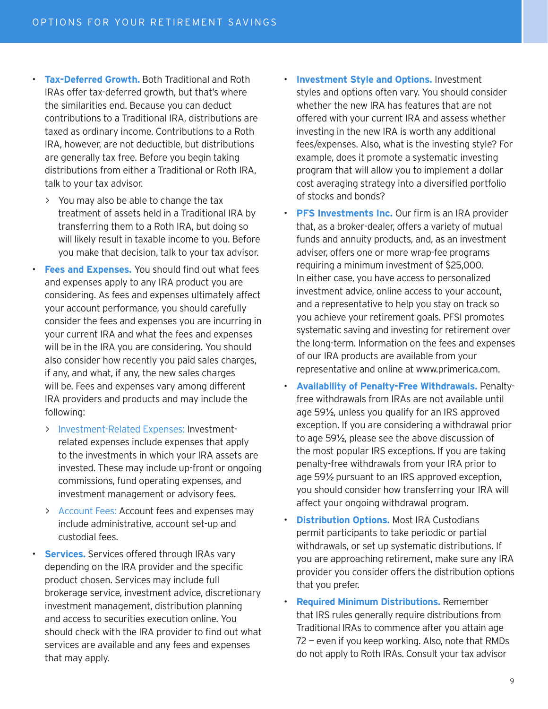- **Tax-Deferred Growth.** Both Traditional and Roth IRAs offer tax-deferred growth, but that's where the similarities end. Because you can deduct contributions to a Traditional IRA, distributions are taxed as ordinary income. Contributions to a Roth IRA, however, are not deductible, but distributions are generally tax free. Before you begin taking distributions from either a Traditional or Roth IRA, talk to your tax advisor.
	- > You may also be able to change the tax treatment of assets held in a Traditional IRA by transferring them to a Roth IRA, but doing so will likely result in taxable income to you. Before you make that decision, talk to your tax advisor.
- **Fees and Expenses.** You should find out what fees and expenses apply to any IRA product you are considering. As fees and expenses ultimately affect your account performance, you should carefully consider the fees and expenses you are incurring in your current IRA and what the fees and expenses will be in the IRA you are considering. You should also consider how recently you paid sales charges, if any, and what, if any, the new sales charges will be. Fees and expenses vary among different IRA providers and products and may include the following:
	- > Investment-Related Expenses: Investmentrelated expenses include expenses that apply to the investments in which your IRA assets are invested. These may include up-front or ongoing commissions, fund operating expenses, and investment management or advisory fees.
	- > Account Fees: Account fees and expenses may include administrative, account set-up and custodial fees.
- **Services.** Services offered through IRAs vary depending on the IRA provider and the specific product chosen. Services may include full brokerage service, investment advice, discretionary investment management, distribution planning and access to securities execution online. You should check with the IRA provider to find out what services are available and any fees and expenses that may apply.
- **Investment Style and Options.** Investment styles and options often vary. You should consider whether the new IRA has features that are not offered with your current IRA and assess whether investing in the new IRA is worth any additional fees/expenses. Also, what is the investing style? For example, does it promote a systematic investing program that will allow you to implement a dollar cost averaging strategy into a diversified portfolio of stocks and bonds?
- **PFS Investments Inc.** Our firm is an IRA provider that, as a broker-dealer, offers a variety of mutual funds and annuity products, and, as an investment adviser, offers one or more wrap-fee programs requiring a minimum investment of \$25,000. In either case, you have access to personalized investment advice, online access to your account, and a representative to help you stay on track so you achieve your retirement goals. PFSI promotes systematic saving and investing for retirement over the long-term. Information on the fees and expenses of our IRA products are available from your representative and online at www.primerica.com.
- **Availability of Penalty-Free Withdrawals.** Penaltyfree withdrawals from IRAs are not available until age 59½, unless you qualify for an IRS approved exception. If you are considering a withdrawal prior to age 59½, please see the above discussion of the most popular IRS exceptions. If you are taking penalty-free withdrawals from your IRA prior to age 59½ pursuant to an IRS approved exception, you should consider how transferring your IRA will affect your ongoing withdrawal program.
- **Distribution Options.** Most IRA Custodians permit participants to take periodic or partial withdrawals, or set up systematic distributions. If you are approaching retirement, make sure any IRA provider you consider offers the distribution options that you prefer.
- **Required Minimum Distributions.** Remember that IRS rules generally require distributions from Traditional IRAs to commence after you attain age 72 — even if you keep working. Also, note that RMDs do not apply to Roth IRAs. Consult your tax advisor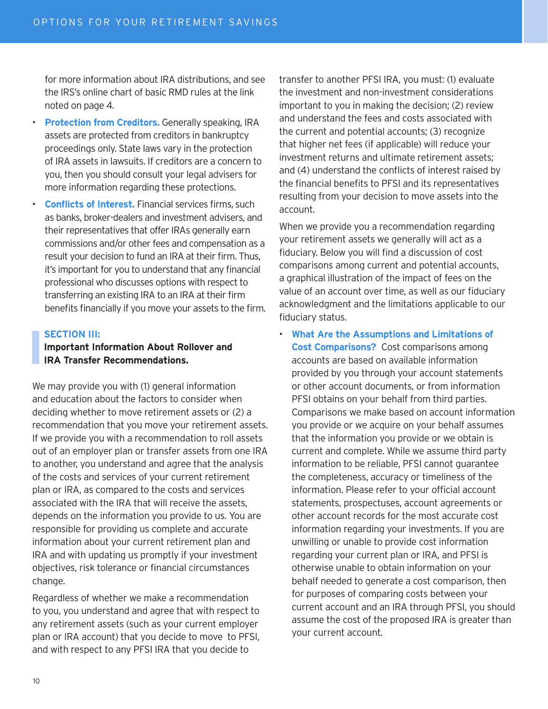for more information about IRA distributions, and see the IRS's online chart of basic RMD rules at the link noted on page 4.

- **Protection from Creditors.** Generally speaking, IRA assets are protected from creditors in bankruptcy proceedings only. State laws vary in the protection of IRA assets in lawsuits. If creditors are a concern to you, then you should consult your legal advisers for more information regarding these protections.
- **Conflicts of Interest.** Financial services firms, such as banks, broker-dealers and investment advisers, and their representatives that offer IRAs generally earn commissions and/or other fees and compensation as a result your decision to fund an IRA at their firm. Thus, it's important for you to understand that any financial professional who discusses options with respect to transferring an existing IRA to an IRA at their firm benefits financially if you move your assets to the firm.

#### **SECTION III:**

#### **Important Information About Rollover and IRA Transfer Recommendations.**

We may provide you with (1) general information and education about the factors to consider when deciding whether to move retirement assets or (2) a recommendation that you move your retirement assets. If we provide you with a recommendation to roll assets out of an employer plan or transfer assets from one IRA to another, you understand and agree that the analysis of the costs and services of your current retirement plan or IRA, as compared to the costs and services associated with the IRA that will receive the assets, depends on the information you provide to us. You are responsible for providing us complete and accurate information about your current retirement plan and IRA and with updating us promptly if your investment objectives, risk tolerance or financial circumstances change.

Regardless of whether we make a recommendation to you, you understand and agree that with respect to any retirement assets (such as your current employer plan or IRA account) that you decide to move to PFSI, and with respect to any PFSI IRA that you decide to

transfer to another PFSI IRA, you must: (1) evaluate the investment and non-investment considerations important to you in making the decision; (2) review and understand the fees and costs associated with the current and potential accounts; (3) recognize that higher net fees (if applicable) will reduce your investment returns and ultimate retirement assets; and (4) understand the conflicts of interest raised by the financial benefits to PFSI and its representatives resulting from your decision to move assets into the account.

When we provide you a recommendation regarding your retirement assets we generally will act as a fiduciary. Below you will find a discussion of cost comparisons among current and potential accounts, a graphical illustration of the impact of fees on the value of an account over time, as well as our fiduciary acknowledgment and the limitations applicable to our fiduciary status.

• **What Are the Assumptions and Limitations of Cost Comparisons?** Cost comparisons among accounts are based on available information provided by you through your account statements or other account documents, or from information PFSI obtains on your behalf from third parties. Comparisons we make based on account information you provide or we acquire on your behalf assumes that the information you provide or we obtain is current and complete. While we assume third party information to be reliable, PFSI cannot guarantee the completeness, accuracy or timeliness of the information. Please refer to your official account statements, prospectuses, account agreements or other account records for the most accurate cost information regarding your investments. If you are unwilling or unable to provide cost information regarding your current plan or IRA, and PFSI is otherwise unable to obtain information on your behalf needed to generate a cost comparison, then for purposes of comparing costs between your current account and an IRA through PFSI, you should assume the cost of the proposed IRA is greater than your current account.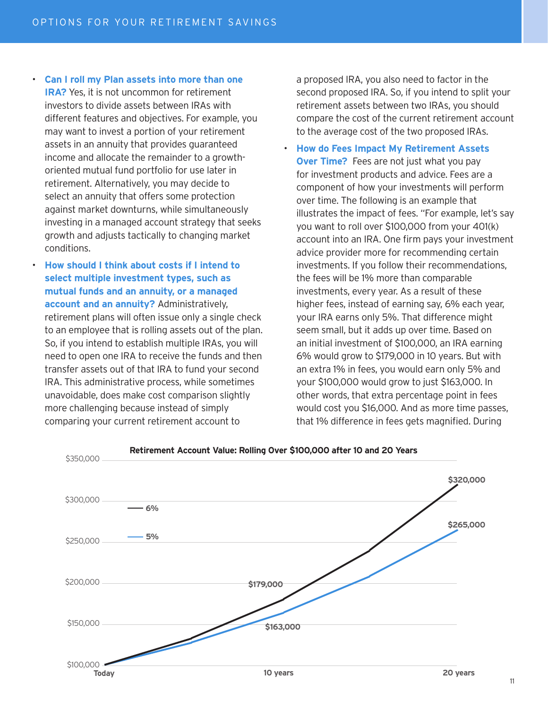• **Can I roll my Plan assets into more than one IRA?** Yes, it is not uncommon for retirement investors to divide assets between IRAs with different features and objectives. For example, you may want to invest a portion of your retirement assets in an annuity that provides guaranteed income and allocate the remainder to a growthoriented mutual fund portfolio for use later in retirement. Alternatively, you may decide to select an annuity that offers some protection against market downturns, while simultaneously investing in a managed account strategy that seeks growth and adjusts tactically to changing market conditions.

#### • **How should I think about costs if I intend to select multiple investment types, such as mutual funds and an annuity, or a managed account and an annuity?** Administratively,

retirement plans will often issue only a single check to an employee that is rolling assets out of the plan. So, if you intend to establish multiple IRAs, you will need to open one IRA to receive the funds and then transfer assets out of that IRA to fund your second IRA. This administrative process, while sometimes unavoidable, does make cost comparison slightly more challenging because instead of simply comparing your current retirement account to

a proposed IRA, you also need to factor in the second proposed IRA. So, if you intend to split your retirement assets between two IRAs, you should compare the cost of the current retirement account to the average cost of the two proposed IRAs.

• **How do Fees Impact My Retirement Assets Over Time?** Fees are not just what you pay for investment products and advice. Fees are a component of how your investments will perform over time. The following is an example that illustrates the impact of fees. "For example, let's say you want to roll over \$100,000 from your 401(k) account into an IRA. One firm pays your investment advice provider more for recommending certain investments. If you follow their recommendations, the fees will be 1% more than comparable investments, every year. As a result of these higher fees, instead of earning say, 6% each year, your IRA earns only 5%. That difference might seem small, but it adds up over time. Based on an initial investment of \$100,000, an IRA earning 6% would grow to \$179,000 in 10 years. But with an extra 1% in fees, you would earn only 5% and your \$100,000 would grow to just \$163,000. In other words, that extra percentage point in fees would cost you \$16,000. And as more time passes, that 1% difference in fees gets magnified. During



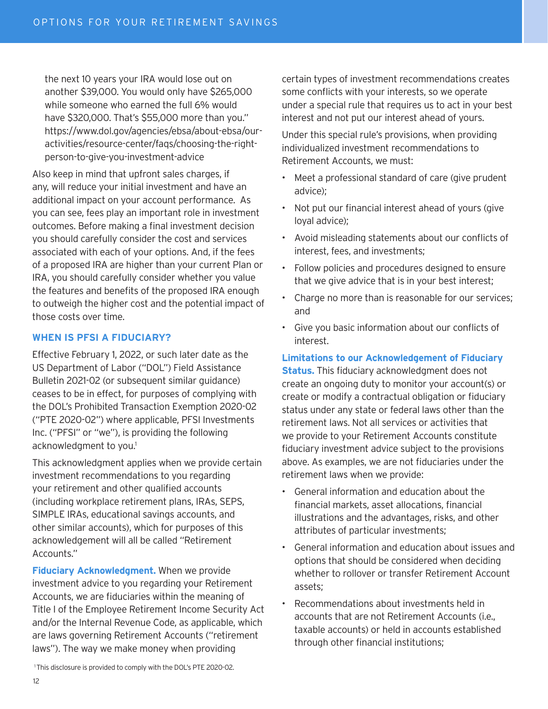the next 10 years your IRA would lose out on another \$39,000. You would only have \$265,000 while someone who earned the full 6% would have \$320,000. That's \$55,000 more than you." https://www.dol.gov/agencies/ebsa/about-ebsa/ouractivities/resource-center/faqs/choosing-the-rightperson-to-give-you-investment-advice

Also keep in mind that upfront sales charges, if any, will reduce your initial investment and have an additional impact on your account performance. As you can see, fees play an important role in investment outcomes. Before making a final investment decision you should carefully consider the cost and services associated with each of your options. And, if the fees of a proposed IRA are higher than your current Plan or IRA, you should carefully consider whether you value the features and benefits of the proposed IRA enough to outweigh the higher cost and the potential impact of those costs over time.

#### **WHEN IS PFSI A FIDUCIARY?**

Effective February 1, 2022, or such later date as the US Department of Labor ("DOL") Field Assistance Bulletin 2021-02 (or subsequent similar guidance) ceases to be in effect, for purposes of complying with the DOL's Prohibited Transaction Exemption 2020-02 ("PTE 2020-02") where applicable, PFSI Investments Inc. ("PFSI" or "we"), is providing the following acknowledgment to you.<sup>1</sup>

This acknowledgment applies when we provide certain investment recommendations to you regarding your retirement and other qualified accounts (including workplace retirement plans, IRAs, SEPS, SIMPLE IRAs, educational savings accounts, and other similar accounts), which for purposes of this acknowledgement will all be called "Retirement Accounts."

**Fiduciary Acknowledgment.** When we provide investment advice to you regarding your Retirement Accounts, we are fiduciaries within the meaning of Title I of the Employee Retirement Income Security Act and/or the Internal Revenue Code, as applicable, which are laws governing Retirement Accounts ("retirement laws"). The way we make money when providing

certain types of investment recommendations creates some conflicts with your interests, so we operate under a special rule that requires us to act in your best interest and not put our interest ahead of yours.

Under this special rule's provisions, when providing individualized investment recommendations to Retirement Accounts, we must:

- Meet a professional standard of care (give prudent advice);
- Not put our financial interest ahead of yours (give loyal advice);
- Avoid misleading statements about our conflicts of interest, fees, and investments;
- Follow policies and procedures designed to ensure that we give advice that is in your best interest;
- Charge no more than is reasonable for our services; and
- Give you basic information about our conflicts of interest.

#### **Limitations to our Acknowledgement of Fiduciary**

**Status.** This fiduciary acknowledgment does not create an ongoing duty to monitor your account(s) or create or modify a contractual obligation or fiduciary status under any state or federal laws other than the retirement laws. Not all services or activities that we provide to your Retirement Accounts constitute fiduciary investment advice subject to the provisions above. As examples, we are not fiduciaries under the retirement laws when we provide:

- General information and education about the financial markets, asset allocations, financial illustrations and the advantages, risks, and other attributes of particular investments;
- General information and education about issues and options that should be considered when deciding whether to rollover or transfer Retirement Account assets;
- Recommendations about investments held in accounts that are not Retirement Accounts (i.e., taxable accounts) or held in accounts established through other financial institutions;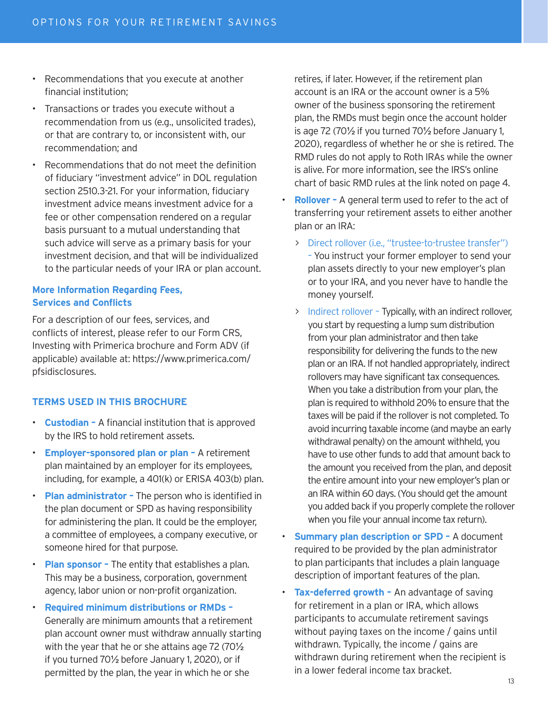- Recommendations that you execute at another financial institution;
- Transactions or trades you execute without a recommendation from us (e.g., unsolicited trades), or that are contrary to, or inconsistent with, our recommendation; and
- Recommendations that do not meet the definition of fiduciary "investment advice" in DOL regulation section 2510.3-21. For your information, fiduciary investment advice means investment advice for a fee or other compensation rendered on a regular basis pursuant to a mutual understanding that such advice will serve as a primary basis for your investment decision, and that will be individualized to the particular needs of your IRA or plan account.

#### **More Information Regarding Fees, Services and Conflicts**

For a description of our fees, services, and conflicts of interest, please refer to our Form CRS, Investing with Primerica brochure and Form ADV (if applicable) available at: https://www.primerica.com/ pfsidisclosures.

#### **TERMS USED IN THIS BROCHURE**

- **Custodian** A financial institution that is approved by the IRS to hold retirement assets.
- **Employer-sponsored plan or plan** A retirement plan maintained by an employer for its employees, including, for example, a 401(k) or ERISA 403(b) plan.
- **Plan administrator –** The person who is identified in the plan document or SPD as having responsibility for administering the plan. It could be the employer, a committee of employees, a company executive, or someone hired for that purpose.
- **Plan sponsor** The entity that establishes a plan. This may be a business, corporation, government agency, labor union or non-profit organization.

#### • **Required minimum distributions or RMDs –** Generally are minimum amounts that a retirement plan account owner must withdraw annually starting with the year that he or she attains age 72 (70½ if you turned 70½ before January 1, 2020), or if permitted by the plan, the year in which he or she

retires, if later. However, if the retirement plan account is an IRA or the account owner is a 5% owner of the business sponsoring the retirement plan, the RMDs must begin once the account holder is age 72 (70½ if you turned 70½ before January 1, 2020), regardless of whether he or she is retired. The RMD rules do not apply to Roth IRAs while the owner is alive. For more information, see the IRS's online chart of basic RMD rules at the link noted on page 4.

- **Rollover -** A general term used to refer to the act of transferring your retirement assets to either another plan or an IRA:
	- > Direct rollover (i.e., "trustee-to-trustee transfer") – You instruct your former employer to send your plan assets directly to your new employer's plan or to your IRA, and you never have to handle the money yourself.
	- > Indirect rollover Typically, with an indirect rollover, you start by requesting a lump sum distribution from your plan administrator and then take responsibility for delivering the funds to the new plan or an IRA. If not handled appropriately, indirect rollovers may have significant tax consequences. When you take a distribution from your plan, the plan is required to withhold 20% to ensure that the taxes will be paid if the rollover is not completed. To avoid incurring taxable income (and maybe an early withdrawal penalty) on the amount withheld, you have to use other funds to add that amount back to the amount you received from the plan, and deposit the entire amount into your new employer's plan or an IRA within 60 days. (You should get the amount you added back if you properly complete the rollover when you file your annual income tax return).
- **Summary plan description or SPD** A document required to be provided by the plan administrator to plan participants that includes a plain language description of important features of the plan.
- **Tax-deferred growth** An advantage of saving for retirement in a plan or IRA, which allows participants to accumulate retirement savings without paying taxes on the income / gains until withdrawn. Typically, the income / gains are withdrawn during retirement when the recipient is in a lower federal income tax bracket.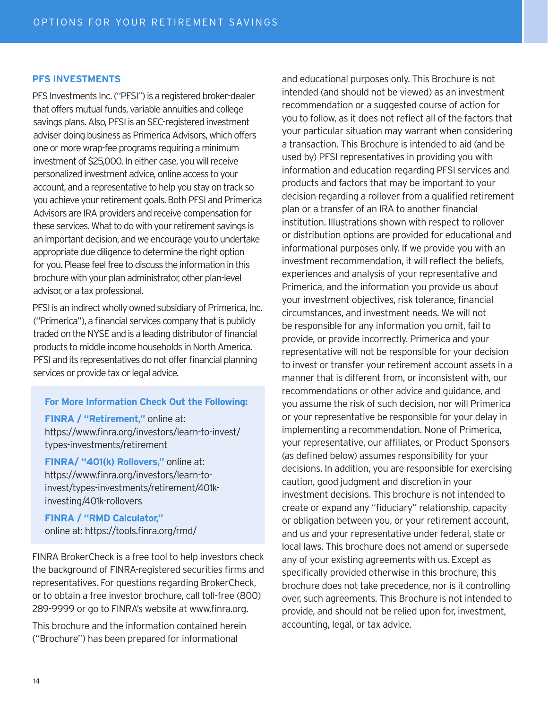#### **PFS INVESTMENTS**

PFS Investments Inc. ("PFSI") is a registered broker-dealer that offers mutual funds, variable annuities and college savings plans. Also, PFSI is an SEC-registered investment adviser doing business as Primerica Advisors, which offers one or more wrap-fee programs requiring a minimum investment of \$25,000. In either case, you will receive personalized investment advice, online access to your account, and a representative to help you stay on track so you achieve your retirement goals. Both PFSI and Primerica Advisors are IRA providers and receive compensation for these services. What to do with your retirement savings is an important decision, and we encourage you to undertake appropriate due diligence to determine the right option for you. Please feel free to discuss the information in this brochure with your plan administrator, other plan-level advisor, or a tax professional.

PFSI is an indirect wholly owned subsidiary of Primerica, Inc. ("Primerica"), a financial services company that is publicly traded on the NYSE and is a leading distributor of financial products to middle income households in North America. PFSI and its representatives do not offer financial planning services or provide tax or legal advice.

#### **For More Information Check Out the Following:**

**FINRA / "Retirement,"** online at: https://www.finra.org/investors/learn-to-invest/ types-investments/retirement

**FINRA/ "401(k) Rollovers,"** online at: https://www.finra.org/investors/learn-toinvest/types-investments/retirement/401kinvesting/401k-rollovers

**FINRA / "RMD Calculator,"** online at: https://tools.finra.org/rmd/

FINRA BrokerCheck is a free tool to help investors check the background of FINRA-registered securities firms and representatives. For questions regarding BrokerCheck, or to obtain a free investor brochure, call toll-free (800) 289-9999 or go to FINRA's website at www.finra.org.

This brochure and the information contained herein ("Brochure") has been prepared for informational

and educational purposes only. This Brochure is not intended (and should not be viewed) as an investment recommendation or a suggested course of action for you to follow, as it does not reflect all of the factors that your particular situation may warrant when considering a transaction. This Brochure is intended to aid (and be used by) PFSI representatives in providing you with information and education regarding PFSI services and products and factors that may be important to your decision regarding a rollover from a qualified retirement plan or a transfer of an IRA to another financial institution. Illustrations shown with respect to rollover or distribution options are provided for educational and informational purposes only. If we provide you with an investment recommendation, it will reflect the beliefs, experiences and analysis of your representative and Primerica, and the information you provide us about your investment objectives, risk tolerance, financial circumstances, and investment needs. We will not be responsible for any information you omit, fail to provide, or provide incorrectly. Primerica and your representative will not be responsible for your decision to invest or transfer your retirement account assets in a manner that is different from, or inconsistent with, our recommendations or other advice and guidance, and you assume the risk of such decision, nor will Primerica or your representative be responsible for your delay in implementing a recommendation. None of Primerica, your representative, our affiliates, or Product Sponsors (as defined below) assumes responsibility for your decisions. In addition, you are responsible for exercising caution, good judgment and discretion in your investment decisions. This brochure is not intended to create or expand any "fiduciary" relationship, capacity or obligation between you, or your retirement account, and us and your representative under federal, state or local laws. This brochure does not amend or supersede any of your existing agreements with us. Except as specifically provided otherwise in this brochure, this brochure does not take precedence, nor is it controlling over, such agreements. This Brochure is not intended to provide, and should not be relied upon for, investment, accounting, legal, or tax advice.